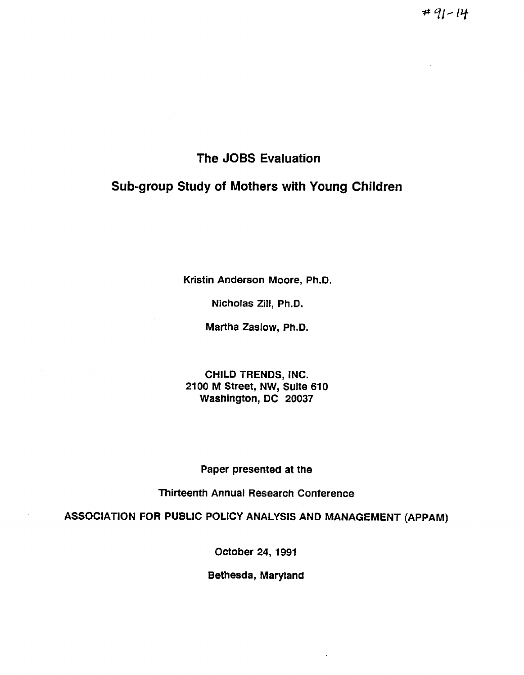# The JOBS Evaluation

# Sub-group Study of Mothers with Young Children

**Kr**i**s#in Anderson Moore** , **Ph**. **D**.

Nicholas Zill, Ph.D.

**Martha Zaslow**, **Ph**. **D**.

# **CHILD TRENDS**, **iNC**. **2100 M Street**, **NW**, **Suite 6y 0 WaSh**i**ngton**, **DC 2d037**

# Paper presented at the

# **Thirteenth Annual Research Conference**

**ASS4CIATION FOR PUBLIC POL[CY ANALYSIS AND MANAGEMENT** (**APPAM**)

**Qcto6er 24**, **1991**

**Bethesda**, **Marytand**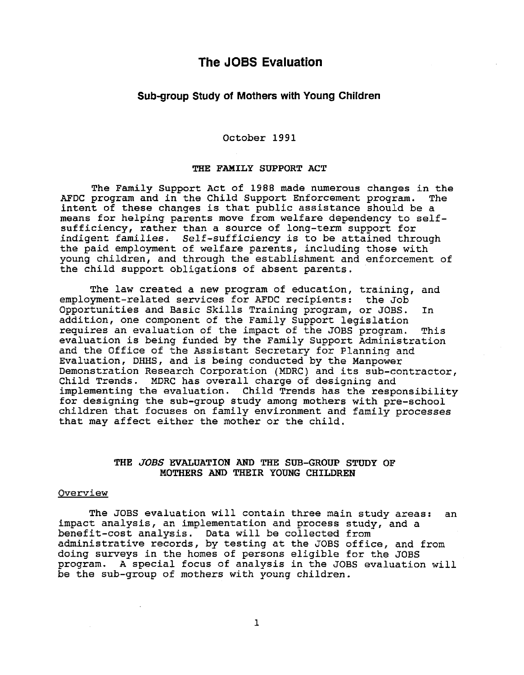# The JOBS Evaluation

## Sub-group Study of Mothers with Young Children

October 1991

### THE FAMILY SUPPORT ACT

The Family Support Act of 1988 made numerous changes in the AFDC program and in the Child Support Enforcement program. The intent of these changes is that public assistance should be a means for helping parents move from welfare dependency to selfsufficiency, rather than a source of long-term support for indigent families. Self-sufficiency is to be attained through the paid employment of welfare parents, including those with young children, and through the establishment and enforcement of the child support obligations of absent parents.

**The law created a new program of education, tx**<sup>~</sup> **a**i**ning, and employment-related serv** i**ces for AFDC recipients : the Job Opportunities and Sasic Skills Training program, or JOBS . In addition, ane component of the Family Support legislation** requires an evaluation of the impact of the JOBS program. This evaluation is being funded by the Family Support Administration and the Office of the Assistant Secretary for Planning and **Evaluation, DHHS, and is being conducted by the Manpower Demonstration Research Corporation (MDRC) and its sub-contractor, Child Trends . MDRC has overall charge of designing and implementing the evaluat**i**on . Ch**i **1d Trends has the responsibility for designing the sub-group study among mothers with pre-school ch**i **ldren that focuses on family environment and family processes** that may affect either the mother or the child.

# THE JOBS EVALUATION AND THE SUB-GROUP STUDY OF MOTHERS AND THEIR YOUNG CHTLDREN

#### Qverview

The JOBS evaluation will contain three main study areas: an impact analysis, an implementation and process study, and a benefit-cost analysis . Data will be collected from administrative records, by testing at the JOBS office, and from doing surveys in the homes of persons eligible for the JOBS program. A special focus of analysis in the JOBS evaluation will be the sub-group of mothers with young children.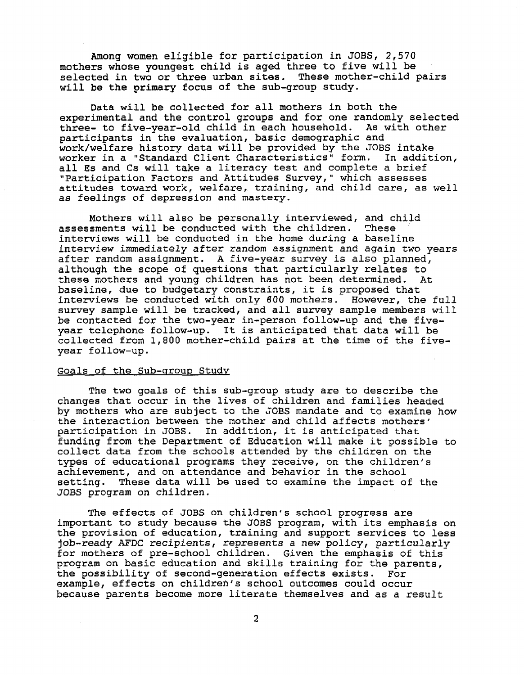Among women eligible for participation in JOBS, 2,570 mothers whose youngest child is aged three to five will be selected in two or three urban sites. These mother-child pairs will be the primary focus of the sub-group study.

Data will be collected for all mothers in both the experimental and the control groups and for one randomly selected three- to five-year-old child in each household. As with other participants in the evaluation, basic demographic and  $work/welfare$  history data will be provided by the JOBS intake worker in a "Standard Client Characteristics" form. In addition, all Es and Cs will take a literacy test and complete a brief "Participation Factors and Attitudes Survey," which assesses attitudes toward work, welfare, training, and child care, as well as feelings of depression and mastery.

Mothers will also be personally interviewed, and child assessments will be conducted with the children. These interviews will be conducted in the home during a baseline interview immediately after random assignment and again two years after random assignment. A five-year survey is also planned, although the scope of questions that particularly relates to these mothers and young children has not been determined. At baseline, due to budgetary constraints, it is proposed that interviews be conducted with only 600 mothers. However, the full survey sample will be tracked, and all survey sample members will be contacted for the two-year in-person follow-up and the fiveyear telephone follow-up. It is anticipated that data will be collected from 1,800 mother-child pairs at the time of the fiveyear follow-up .

#### Goals of the Sub-group Study

The two goals of this sub-group study are to describe the changes that occur in the lives of children and families headed by mothers who are subject to the JOBS mandate and to examine how the interaction between the mother and child affects mothers' participation in JOBS . In addition, it is anticipated that fundinq from the Department af Education will make it possible to collect data from the schools attended by the children on the types of educational programs they receive, on the children's achievement, and on attendance and behavior in the school<br>setting. These data will be used to examine the impact o These data will be used to examine the impact of the JOS5 program on children .

The effects af JOBS on children's school progress are important to study because the JOBS program, with its emphasis on the provision of education, training and support services to less job-ready AFDC recipients, represents a new policy, particularly for mothers of pre-school children. Given the emphasis of this program on basic education and skills training for the parents, the possibility of second-generation effects exists. For example, effects on children's school autcomes could accur because parents become more literate themselves and as a result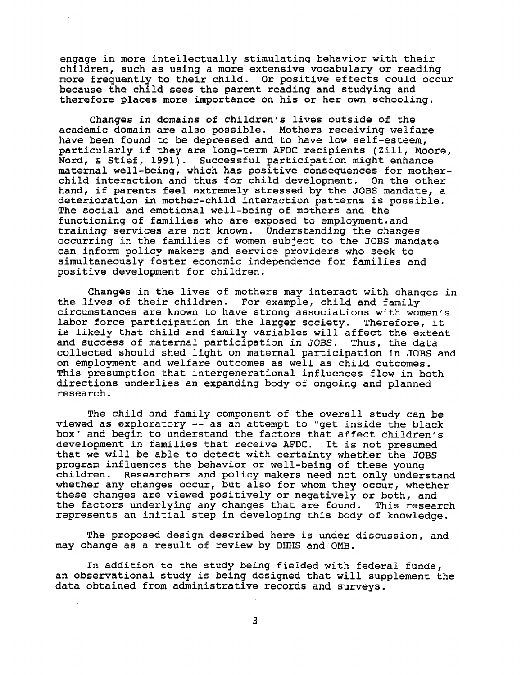engage in more intellectually stimulating behavior with their children, such as using a more extensive vocabulary or reading more frequently to their child. Or positive effects could occur because the child sees the parent reading and studying and therefore places more importance on his or her own schooling.

Changes in domains of children's lives outside of the academic domain are also possible. Mothers receiving welfare have been found to be depressed and to have low self-esteem, particularly if they are Iong-term AFDC recipients (Zill, Moore, Nord, & Stief, 1991) . Successful garticipation might enhance maternal well-being, which has positive consequences for motherchild interaction and thus for child development. On the other hand, if parents feel extremely stressed by the JOBS mandate, a deterioration in mother-child interaction patterns is possible. The social and emotional well-being of mothers and the functioning of families who are exposed to employment.and training services are not known. Understanding the changes occurring in the families of women subject to the JOBS mandate can inform policy makers and service providers who seek to simultaneously foster economic independence for families and positive development for children.

Changes in the lives of mothers may interact with changes in the lives of their children. For example, child and family circumstances are known to have strong associations with women's labor force participation in the larger society. Therefore, it is likely that child and family variables will affect the extent and success of maternal participation in JOBS. Thus, the data collected should shed light on maternal participation in JOBS and on employment and welfare outcomes as well as ehild outcomes . This presumption that intergenerational influences flow in both directions underlies an expanding body of ongoing and planned research .

The child and family component of the overall study can be viewed as exploratory -- as an attempt to "get inside the black box" and begin to understand the factors that affect children's development in families that receive AFDC. It is not presumed that we will be able to detect with certainty whether the JOBS program influences the behavior or well-being of these young children. Researchers and policy makers need not only understand whether any changes occur, but also for whom they occur, whether these changes are viewed positively or negatively or both, and the factors underlying any changes that are found. This research represents an initial step in developing this body of knowledge.

The proposed design described here is under discussion, and may change as a result of review by DHHS and OMB.

In addition to the study being fielded with federal funds, an observational study is being designed that will supplement the data obtained Erom administrative records and surveys .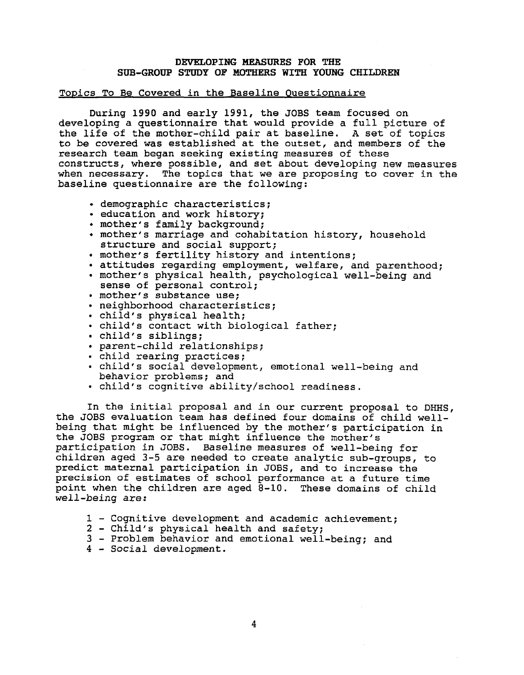## DEVELOPING MEASURES FOR THE SUB-GROUP STUDY OF MOTHERS WITH YOUNG CHILDREN

#### **Topics To Be**\_ **Covered in the** \_ **Baseline Questionnaire**

During 1990 and early 1991, the JOBS team focused on developing a questionnaire that would provide a full picture of the life of the mother-child pair at baseline. A set of topics to be covered was established at the outset, and members of the research team began seeking existing measures of these constructs, where possible~ and set about developing new measures when necessary. The topics that we are proposing to cover in the baseline questionnaire are the following:

- **demographic characteristics ;**
- **education and work history ;**
- mother's family background;
- **mother's marr**i**age and cohabitation history, household structure and social suppart ;**
- mother's fertility history and intentions;
- attitudes regarding employment, welfare, and parenthood;
- mother's physical health, psychological well-being and **sense of personal control ;**
- **mother's snbstance use ;**
- **ne**i**ghborhood characteristics ;**
- child's physical health;
- child's contact with biological father;
- **child's sibl** i**ngs ;**
- **paxent-child relatianships ;**
- **ch**il**d rearing practices ;**
- **child~s socia~ development, emot**i**onal well-being and** behavior problems; and
- **chi** l**d~s cogn**i**tiv**e **abi** <sup>l</sup> **ity** /s**c**h**oal r**e**ad**i. **ness .**

In the initial proposal and in our current proposal to DHHS, the JOBS evaluation team has defined four domains of child wellbeing that might be influenced by the mother's participation in the JOBS program or that might influence the mother's participation in JOBS. Baseline measures of well-being for children aged 3-5 are needed to create analytic sub-groups, to pzedict maternal participatian in JOBS, and to increase the precision of estimates of school performance at a future time point when the children are aged 8-10 . These domains of child  $well$ -being are:

- **1- Cognitive development and academic achievement ;**
- **2- Ghild's physical health and safety ;**
- **3- Prablem behavior and emotional** W~ii **-being ; and**
- $4$  Social development.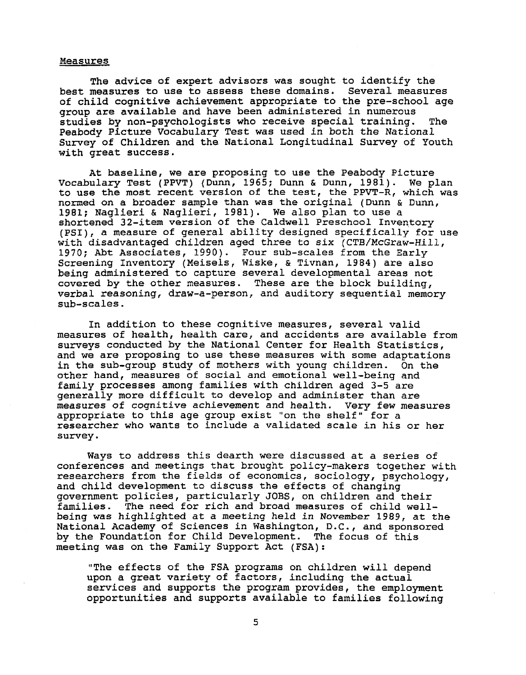#### **Measures**

The advice of expert advisors was sought to identify the hest measures to use to assess these domains. Several measures of child cognitive achievement appropriate to the pre-school age **group are available and have been administered** i**n numerous studies by non-psychologists who receive special training . The** Peabody Picture Vocabulary Test was used in both the National Survey of Children and the National Longitudinal Survey of Youth **with great success .**

At baseline, we are proposing to use the Peabody Picture Vocabulary Test (PPVT) (Dunn, 1965; Dunn & Dunn, 1981). We plan to use the most recent versian of the test, the PPVT-R, which was normed on a broader sample than was the original (Dunn & Dunn, 1981; Naglieri & Naglieri, 1981). We also plan to use a shortened 32-item version of the Caldwell Preschool Inventory  $(PSI)$ , a measure of qeneral ability designed specifically for use with disadvantaged children aged three to six (CTB/McGraw-Hill, 1970; Abt Associates, 1990). Four sub-scales from the Early Screening Inventory (Meisels, Wiske, & Tivnan, 1984) are also being administered to capture several developmental areas not covered by the other measures. These are the block building, verbal reasoning, draw-a-person, and auditory sequential memory sub-scales .

In addition to these cognitive measures, several valid measures of health, health care, and accidents are available from surveys conducted by the Natianal Center for Health Statistics, and we are proposing to use these measures with some adaptations in the sub-group study of mothers with young children. On the other hand, measures of social and emotional well-being and family processes among families with children aged  $3-5$  are generally more difficult ta develop and administer than are measures of cognitive achievement and health. Very few measures appropriate to this age group exist "on the shelf" for  $\varepsilon$ researcher who wants to include a validated scale in his ar her survey .

Ways to address this dearth were discussed at a series of conferences and meetings that brought policy-makers together with researchers from the fields of economics, sociology, psychology, and child development to discuss the effects of changing government policies, particularly JOBS, on children and their<br>families. The need for rich and broad measures of child well-The need for rich and broad measures of child wellbeing was highlighted at a meeting held in November 1989, at the **National Academy of Sciences in Washington, D .C ., and sponsoxed** by the Foundation for Child Development. The focus of this  $m$ eeting was on the Family Support Act (FSA):

"The effects of the FSA programs on children will depend upon a great variety of factors, including the actual **serv**i**ces and supports the program provides, the employment opportunities and supparts availahle to famiJ** .i . **es following**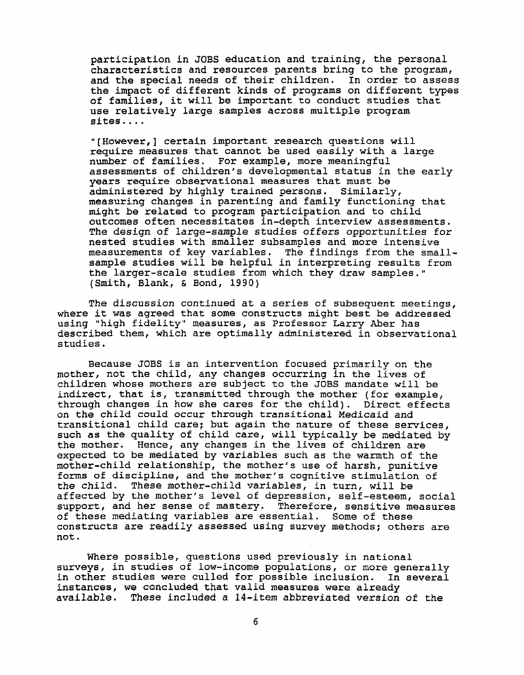participation in JOBS education and training, the personal characteristics and resources parents bring to the program, and the special needs of their children. In order to assess the impact of different kinds of programs on different types of families, it will be important to conduct studies that use relatively large samples across multiple program sites....

"[However, ] certain important research questions will require measures that cannot be used easily with a large number of families. For example, more meaningful assessments of children's developmental status in the early years require observational measures that must be administered by highly trained persons. Similarly, measuring changes in parenting and family functioning that might be related to program participation and to child outcomes often necessitates in-depth interview assessments . The design of large-sample studies offers opportunities for nested studies with smaller subsamples and more intensive measurements of key variables. The findings from the smallsample studies will be helpful in interpreting results from the larger-scale studies from which they draw samgies," (Smith, Blank, & Bond, 1990 }

The discussion continued at a series of subsequent meetings, where it was agreed that some constructs might best be addressed using "high fidelity" measures, as Professor Larry Aber has described them, which are optimally administered in observational studies.

Hecause JOSS is an intervention focused primarily on the mother, not the child, any changes occurring in the lives of children whose mathers are subject to the JOBS mandate will be indirect, that is, transmitted through the mother (for example, through changes in how she cares for the child). Direct effects on the child could occur through transitional Medicaid and transitional child care; but again the nature of these services, such as the quality of child care, will typically be mediated by the mother. Hence, any changes in the lives of children are expected to be mediated by variables such as the warmth of the mother-child relationship, the mother's use of harsh, punitive forms of discipline, and the mother's cognitive stimulation of the child. These mother-child variables, in turn, will be affected by the mother's level of depression, self-esteem, social support, and her sense of mastery. Therefore, sensitive measures of these mediating variables are essential. Some of these constructs are readily assessed using survey methods; others are nat .

Where possible, questions used previously in national surveys, in studies of low-income populations, or more generally in other studies were culled for possible inclusion. In several instances, we concluded that valid measures were already available. These included a 14-item abbreviated version of the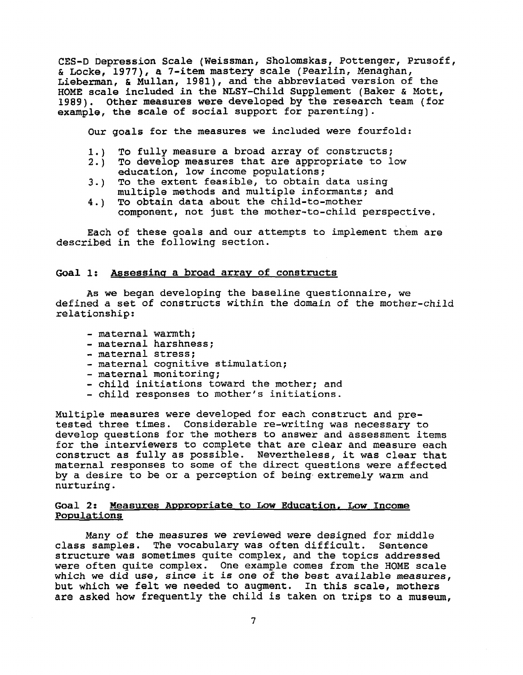GES-D Depression Scale (Weissman, Sholomskas, Pottenger, Prusoff, & Locke, 1977) . a 7-item mastery scale (Pearlin, Menaghan, Lieberman, & Mullan, 1981), and the abbreviated version of the HOME scale included in the NLSY-Child Supplement (Baker & Mott, 1989). Other measures were developed by the research team (for example, the scale of social support for parenting) .

Our goals for the measures we included were fourfold:

- 1.) To fully measure a broad array of constructs;
- $2.\dot{)}$  To develop measures that are appropriate to low education, low income populations;
- $3.$ ) To the extent feasible, to obtain data using multiple methods and multiple informants ; and
- 4.) To obtain data about the child-to-mother component, not just the mother-to-child perspective.

Each of these goals and our attempts to implement them are described in the following section .

#### Goal 1: Assessing a broad array of constructs

As we began developing the baseline questionnaire, we defined a set of constructs within the domain of the mother-child relatianship :

- maternal warmth ;
- maternal harshness ;
- maternal stress ;
- maternal cognitive stimulation;
- maternal monitoring;
- child initiations toward the mother; and
- child responses to mother's initiations.

Multiple measures were developed for each construct and pre**tested three t**i**mes . Considerable re-writing was necessazy to** develop questions for the mothers to answer and assessment items for the interviewers to complete that are clear and measure each construct as fully as possible. Nevertheless, it was clear that **maternal responses to same of the direct questions were affected** by a desire to be or a perception of being extremely warm and **nurturing .**

### **Goal 2 : Measures Appro**p**~iate ta Low Education~** "**Low Income Populations**

Many of the measures we reviewed were designed for middle class samples. The vocabulary was often difficult. Sentence structure was sometimes quite complex, and the topics addressed were often quite complex. One example comes from the HOME scale which we did use, since it is one of the best available measures, but which we felt we needed to augment. In this scale, mothers are asked how frequently the child is taken on trips to a museum,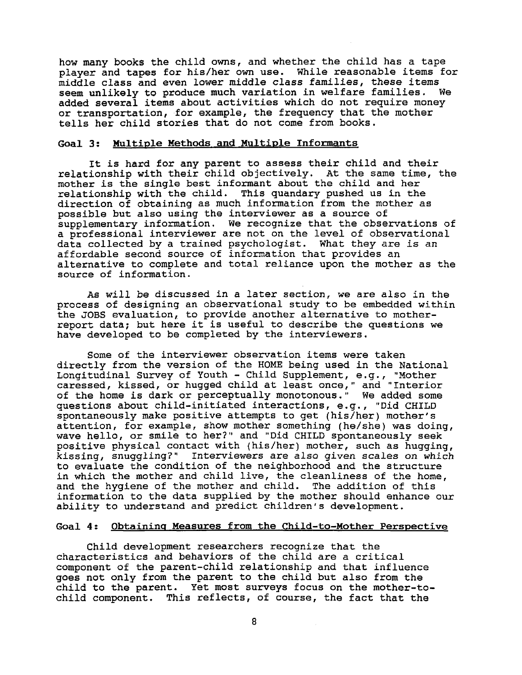how many books the child owns, and whether the child has a tape player and tapes for his/her own use. While reasonable items for middle class and even lower middle class families, these items<br>seem unlikely to produce much variation in welfare families. We seem unlikely to produce much variation in welfare families. added several items about activities which do not require money or transportation, for example, the frequency that the mother **tells her child stories that do not come from books .**

### **Goal 3 : Multivle Methods** \_ **and** \_**Mu~ti~e Infor~nants**

It is hard for any parent to assess their child and their relationship with their child objectively. At the same time, the mother is the single best informant about the child and her **relationship with the child . This quandary pushed us in the** direction of obtaining as much information from the mother as **possible but also using the interviewer as a souree of**  $s$ upplementary information. We recognize that the observations of a professional interviewer are not on the level of observational **data collected by a trained psycholagzst . What they are** i**s an affordable second source of** i**nformatzon that provides an** alternative to complete and total reliance upon the mother as the **source of informat**i**an .**

**As will be discussed in a Iatsr section, we are also** i**n the** process of designing an observational study to be embedded within the JOBS evaluation, to provide another alternative to motherreport data; but here it is useful to describe the questions we have developed to be completed by the interviewers.

**Some of the interviewer observat**i**on** i **tems were taken directly from the version of the HOME being used in the National** Longitudinal Survey of Youth - Child Supplement, e.g., "Mother caressed, kissed, or hugged child at least once," and " Interior **of the home is dark or perceptually monotonaus .** " **We added some guestions about child-initiated interactions, e.g., "Did CHILD** spontaneously make positive attempts to get (his/her) mother's attention, for example, show mother something (he/she) was doing, **wave hello, or smile to her?" and "Did CHILD spontaneously seek posit**i**ve physical contact with (his/her) mother, such as hugging,**  $k$ issing, snuggling?" Interviewers are also given scales on which to evaluate the condition of the neighborhood and the structure in which the mother and child live, the cleanliness of the home, and the hygiene of the mother and child. The addition of this **information to the data supplied by the mother should enhance our** ability to understand and predict children's development.

# Goal 4: Obtaining Measures from the Child-to-Mother Perspective

**Child development researchers recognize that the** characteristics and behaviors of the child are a critical **component af the parent-child relationship and that influence goes not only from the parent to the child but also from the** child to the parent. Yet most surveys focus on the mother-tochild component. This reflects, of course, the fact that the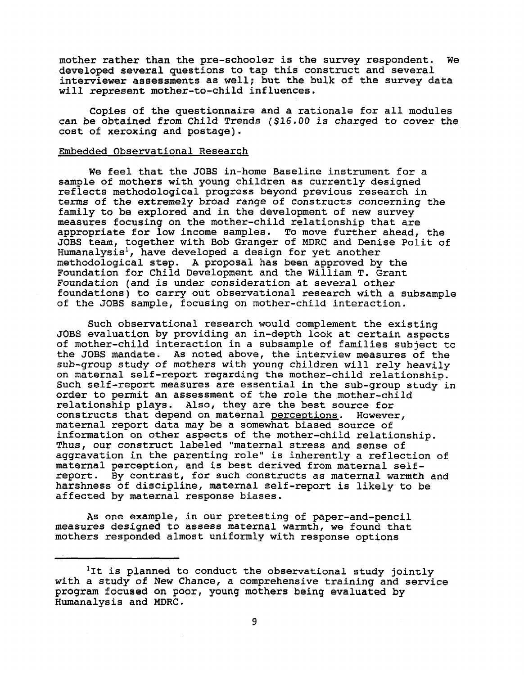mother rather than the pre-schooler is the survey respondent. We developed several questions to tap this construct and several interviewer assessments as well; but the bulk of the survey data will represent mother-to-child influences .

Copies of the questionnaire and a rationale for all modules can be obtained from Child Trends (\$16.00 is charged to cover the cost of xeroxing and postage).

#### Embedded Observational Research

We feel that the JOBS in-home Baseline instrument for a sample of mothers with young children as currently designed reflects methodological pxogress beyond previous research in terms of the extremely broad range of constructs concerning the family to be explored and in the development of new survey measures focusing on the mother-child relationship that are appropriate for low income samples. To move further ahead, the JOBS team, together with Bob Granger of MDRC and Denise Polit Qf Humanalysis<sup>1</sup>, have developed a design for yet another methodological step. A proposal has been approved by the Foundation for Child Development and the William T. Grant Foundation (and is under consideration at several other foundations) to carry out observational research with a subsample of the JOBS sample, focusing an mother-child interactian .

Such observational research would complement the existing JOBS evaluation by providing an in-depth look at certain aspects of mother-child interaction in a subsample of families subject to the JOBS mandate. As noted above, the interview measures of the sub-group study of mothers with young children will rely heavily on maternal self-report regarding the mother-child relationship. Such self-report measures are essential in the sub-group study in order to permit an assessment of the role the mother-child relationship plays. Also, they are the best source for constructs that depend on maternal perceptions. However, maternal report data may he a somewhat biased souree oE information on other aspects of the mother-child relationship . Thus, our construct labeled "maternal stress and sense of aggravation in the parenting role" is inherently a reflection of maternal perception, and is best derived from maternal selfreport. By contrast, for such constructs as maternal warmth and harshness of discipline, maternal self-repart is likely to be affected by maternal xespanse biases .

As one example, in our pretesting of paper-and-pencil measures designed to assess maternal waxmth, we found that mothers responded almost uniformly with response options

<sup>&</sup>lt;sup>1</sup>It is planned to conduct the observational study jointly with a study of New Chance, a comprehensive training and service program focused on poor, young mothers being evaluated by Humanalysis and MDRC.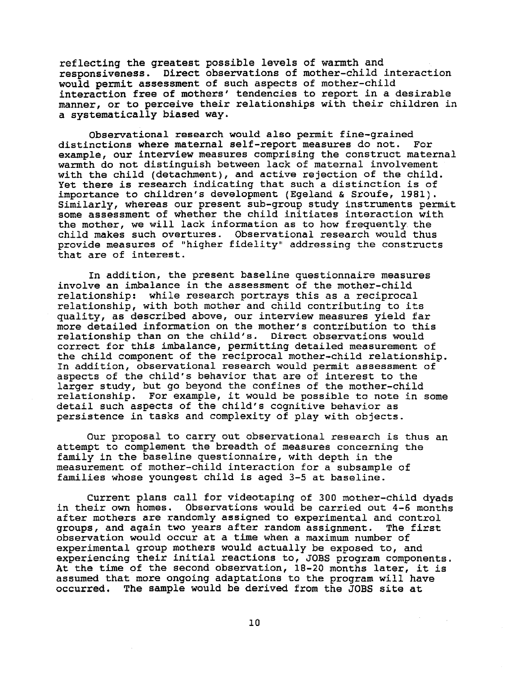**reflecting the greatest possible levels of warmth and** Direct observations of mother-child interaction would permit assessment of such aspects of mother-child **interact**i**on free of mothers' tendencies to report in a desirable** manner, or to perceive their relationships with their children in **a systematically biased way .**

**Observat**i**onal research would also permit fine-grained distinct**<sup>i</sup> **ons where maternal self-report measures do not . For example, our interview measures comprisinq the construct maternal warmth do not distinguish between lack of maternal involvement** with the child (detachment), and active rejection of the child. Yet there is research indicating that such a distinction is of <sup>i</sup>**mportance to children's development {Egeland & Sroufe, 1981) . Similarly, whereas our present sub-group study instruments permit some assessment of whether the child initiates interaetion with the mother, we will lack informat**i**on as ta how frequently**. **the child makes such overtures . Observat**i**onal research would thus** provide measures of "higher fidelity" addressing the constructs **that are af interest .**

In addition, the present baseline questionnaire measures involve an imbalance in the assessment of the mother-child **relationship : while research portrays this as a reciprocal relationship, with both mother and child contributing to its qual**i**ty, as described abvve, our interv**i**ew measures yield far more detailed information on the mother's contribution to this** relationship than on the child's. Direct observations would correct for this imbalance, permitting detailed measurement of **the ehild component of the reciprocal mother-child relationship . In addit**i**on, observational research would permit assessment af** aspects of the child's behavior that are of interest to the larger study, but go beyond the confines of the mother-child relationship. For example, it would be possible to note in some detail such aspects of the child's cognitive behavior as **persistence in tasks and complexity of play w**i**th objects .**

**Our propasal to carry out observational research is thus an** attempt to complement the breadth of measures concerning the **family in the baseline quest** i**onnaire, with depth in the measurement of mother-child interaction for a subsample of** families whose youngest child is aged 3-5 at baseline.

**Current plans call for videotaping of 300 mother-child dyads in their own hames . Observations would be carried out 4-6 months** after mothers are randomly assigned to experimental and control groups, and again two years after random assignment. The first **groups, and again two years after random assignment. observat**i **on would occur at a time when a maximum number of experimental group mothers would actually be exposed to, and** experiencing their initial reactions to, JOBS program components. At the time of the second observation, 18-20 months later, it is assumed that more ongoing adaptations to the program will have **occurred . The sampie would be derived from the JOHS sit~ a t**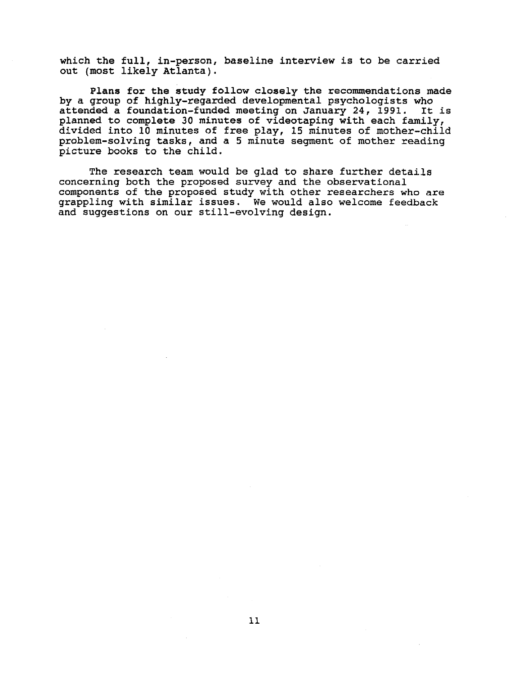which the full, in-person, baseline interview is to be carried out (most likely Atlanta).

Plans for the study follow closely the recommendations made by a group of highly-regarded developmental psychologists who attended a foundation-funded meeting on January 24, 1993 . It is planned to complete 3Q minutes of videotaping with each family, divided into  $10$  minutes of free play, 15 minutes of mother-child problem-solving tasks, and a 5 minute segment of mother reading picture books to the child .

The research team would be glad to share further details concerning both the proposed survey and the observational components of the proposed study with other researchers who are grappling with similar issues. We would also welcome feedback and suggestions on our still-evolving design.